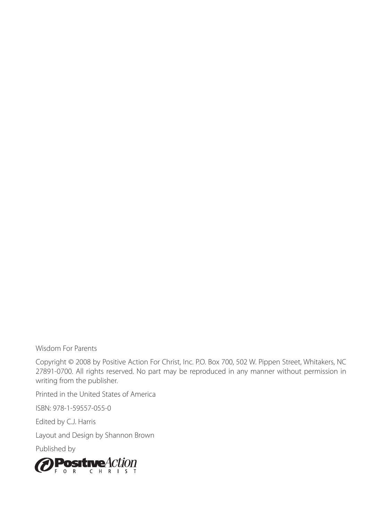Wisdom For Parents

Copyright © 2008 by Positive Action For Christ, Inc. P.O. Box 700, 502 W. Pippen Street, Whitakers, NC 27891-0700. All rights reserved. No part may be reproduced in any manner without permission in writing from the publisher.

Printed in the United States of America

ISBN: 978-1-59557-055-0

Edited by C.J. Harris

Layout and Design by Shannon Brown

Published by

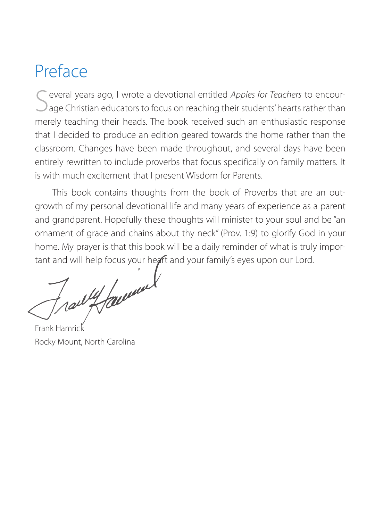# Preface

everal years ago, I wrote a devotional entitled *Apples for Teachers* to encour- $\mathcal{O}_{\text{aqe}}$  Christian educators to focus on reaching their students' hearts rather than merely teaching their heads. The book received such an enthusiastic response that I decided to produce an edition geared towards the home rather than the classroom. Changes have been made throughout, and several days have been entirely rewritten to include proverbs that focus specifically on family matters. It is with much excitement that I present Wisdom for Parents.

This book contains thoughts from the book of Proverbs that are an outgrowth of my personal devotional life and many years of experience as a parent and grandparent. Hopefully these thoughts will minister to your soul and be "an ornament of grace and chains about thy neck" (Prov. 1:9) to glorify God in your home. My prayer is that this book will be a daily reminder of what is truly impor-

tant and will help focus your heart and your family's eyes upon our Lord.

Frank Hamrick Rocky Mount, North Carolina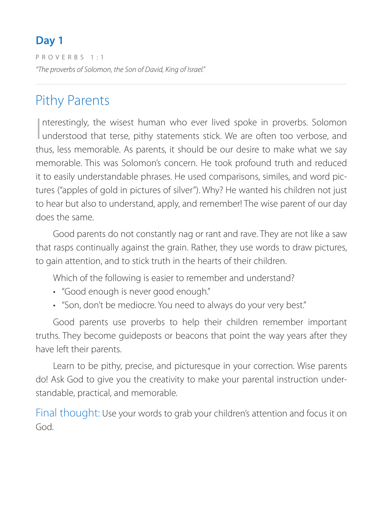PROVERBS 1:1 *"The proverbs of Solomon, the Son of David, King of Israel."*

# Pithy Parents

I nterestingly, the wisest human who ever lived spoke in proverbs. Solomon understood that terse, pithy statements stick. We are often too verbose, and thus, less memorable. As parents, it should be our desire to make what we say memorable. This was Solomon's concern. He took profound truth and reduced it to easily understandable phrases. He used comparisons, similes, and word pictures ("apples of gold in pictures of silver"). Why? He wanted his children not just to hear but also to understand, apply, and remember! The wise parent of our day does the same.

Good parents do not constantly nag or rant and rave. They are not like a saw that rasps continually against the grain. Rather, they use words to draw pictures, to gain attention, and to stick truth in the hearts of their children.

Which of the following is easier to remember and understand?

- "Good enough is never good enough."
- "Son, don't be mediocre. You need to always do your very best."

Good parents use proverbs to help their children remember important truths. They become guideposts or beacons that point the way years after they have left their parents.

Learn to be pithy, precise, and picturesque in your correction. Wise parents do! Ask God to give you the creativity to make your parental instruction understandable, practical, and memorable.

Final thought: Use your words to grab your children's attention and focus it on God.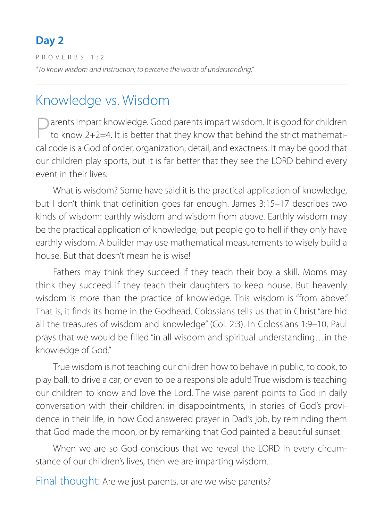PROVERBS 1:2 *"To know wisdom and instruction; to perceive the words of understanding."*

### Knowledge vs. Wisdom

arents impart knowledge. Good parents impart wisdom. It is good for children to know 2+2=4. It is better that they know that behind the strict mathematical code is a God of order, organization, detail, and exactness. It may be good that our children play sports, but it is far better that they see the LORD behind every event in their lives.

What is wisdom? Some have said it is the practical application of knowledge, but I don't think that definition goes far enough. James 3:15–17 describes two kinds of wisdom: earthly wisdom and wisdom from above. Earthly wisdom may be the practical application of knowledge, but people go to hell if they only have earthly wisdom. A builder may use mathematical measurements to wisely build a house. But that doesn't mean he is wise!

Fathers may think they succeed if they teach their boy a skill. Moms may think they succeed if they teach their daughters to keep house. But heavenly wisdom is more than the practice of knowledge. This wisdom is "from above." That is, it finds its home in the Godhead. Colossians tells us that in Christ "are hid all the treasures of wisdom and knowledge" (Col. 2:3). In Colossians 1:9–10, Paul prays that we would be filled "in all wisdom and spiritual understanding…in the knowledge of God."

True wisdom is not teaching our children how to behave in public, to cook, to play ball, to drive a car, or even to be a responsible adult! True wisdom is teaching our children to know and love the Lord. The wise parent points to God in daily conversation with their children: in disappointments, in stories of God's providence in their life, in how God answered prayer in Dad's job, by reminding them that God made the moon, or by remarking that God painted a beautiful sunset.

When we are so God conscious that we reveal the LORD in every circumstance of our children's lives, then we are imparting wisdom.

Final thought: Are we just parents, or are we wise parents?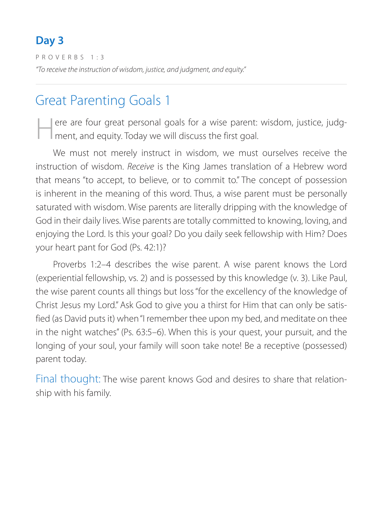PROVERBS 1:3 *"To receive the instruction of wisdom, justice, and judgment, and equity."*

### Great Parenting Goals 1

ere are four great personal goals for a wise parent: wisdom, justice, judgment, and equity. Today we will discuss the first goal.

We must not merely instruct in wisdom, we must ourselves receive the instruction of wisdom. *Receive* is the King James translation of a Hebrew word that means "to accept, to believe, or to commit to." The concept of possession is inherent in the meaning of this word. Thus, a wise parent must be personally saturated with wisdom. Wise parents are literally dripping with the knowledge of God in their daily lives. Wise parents are totally committed to knowing, loving, and enjoying the Lord. Is this your goal? Do you daily seek fellowship with Him? Does your heart pant for God (Ps. 42:1)?

Proverbs 1:2–4 describes the wise parent. A wise parent knows the Lord (experiential fellowship, vs. 2) and is possessed by this knowledge (v. 3). Like Paul, the wise parent counts all things but loss "for the excellency of the knowledge of Christ Jesus my Lord." Ask God to give you a thirst for Him that can only be satisfied (as David puts it) when "I remember thee upon my bed, and meditate on thee in the night watches" (Ps. 63:5–6). When this is your quest, your pursuit, and the longing of your soul, your family will soon take note! Be a receptive (possessed) parent today.

Final thought: The wise parent knows God and desires to share that relationship with his family.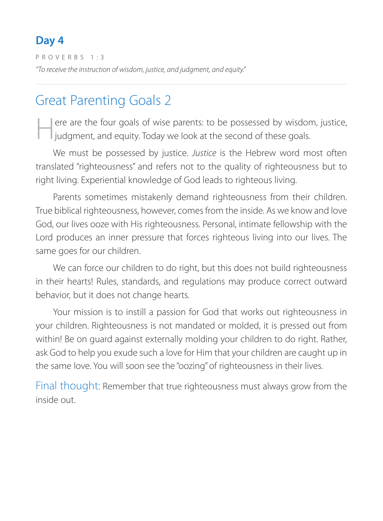PROVERBS 1:3 *"To receive the instruction of wisdom, justice, and judgment, and equity."*

# Great Parenting Goals 2

Here are the four goals of wise parents: to be possessed by wisdom, justice, judgment, and equity. Today we look at the second of these goals.

We must be possessed by justice. *Justice* is the Hebrew word most often translated "righteousness" and refers not to the quality of righteousness but to right living. Experiential knowledge of God leads to righteous living.

Parents sometimes mistakenly demand righteousness from their children. True biblical righteousness, however, comes from the inside. As we know and love God, our lives ooze with His righteousness. Personal, intimate fellowship with the Lord produces an inner pressure that forces righteous living into our lives. The same goes for our children.

We can force our children to do right, but this does not build righteousness in their hearts! Rules, standards, and regulations may produce correct outward behavior, but it does not change hearts.

Your mission is to instill a passion for God that works out righteousness in your children. Righteousness is not mandated or molded, it is pressed out from within! Be on guard against externally molding your children to do right. Rather, ask God to help you exude such a love for Him that your children are caught up in the same love. You will soon see the "oozing" of righteousness in their lives.

Final thought: Remember that true righteousness must always grow from the inside out.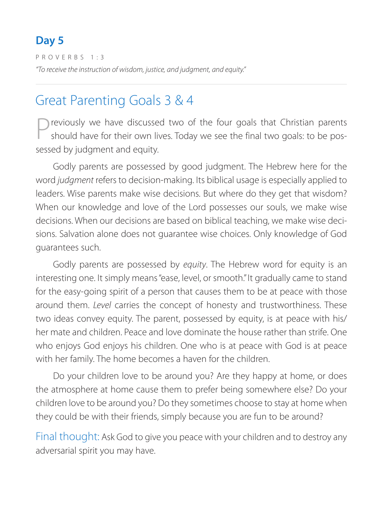PROVERBS 1:3 *"To receive the instruction of wisdom, justice, and judgment, and equity."*

### Great Parenting Goals 3 & 4

Previously we have discussed two of the four goals that Christian parents should have for their own lives. Today we see the final two goals: to be possessed by judgment and equity.

Godly parents are possessed by good judgment. The Hebrew here for the word *judgment* refers to decision-making. Its biblical usage is especially applied to leaders. Wise parents make wise decisions. But where do they get that wisdom? When our knowledge and love of the Lord possesses our souls, we make wise decisions. When our decisions are based on biblical teaching, we make wise decisions. Salvation alone does not guarantee wise choices. Only knowledge of God guarantees such.

Godly parents are possessed by *equity*. The Hebrew word for equity is an interesting one. It simply means "ease, level, or smooth." It gradually came to stand for the easy-going spirit of a person that causes them to be at peace with those around them. *Level* carries the concept of honesty and trustworthiness. These two ideas convey equity. The parent, possessed by equity, is at peace with his/ her mate and children. Peace and love dominate the house rather than strife. One who enjoys God enjoys his children. One who is at peace with God is at peace with her family. The home becomes a haven for the children.

Do your children love to be around you? Are they happy at home, or does the atmosphere at home cause them to prefer being somewhere else? Do your children love to be around you? Do they sometimes choose to stay at home when they could be with their friends, simply because you are fun to be around?

Final thought: Ask God to give you peace with your children and to destroy any adversarial spirit you may have.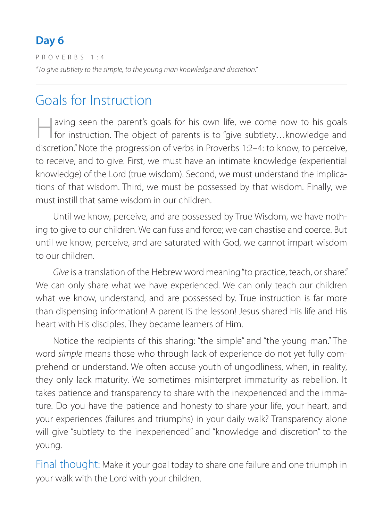PROVERBS 1:4 *"To give subtlety to the simple, to the young man knowledge and discretion."* 

### Goals for Instruction

Having seen the parent's goals for his own life, we come now to his goals for instruction. The object of parents is to "give subtlety…knowledge and discretion." Note the progression of verbs in Proverbs 1:2–4: to know, to perceive, to receive, and to give. First, we must have an intimate knowledge (experiential knowledge) of the Lord (true wisdom). Second, we must understand the implications of that wisdom. Third, we must be possessed by that wisdom. Finally, we must instill that same wisdom in our children.

Until we know, perceive, and are possessed by True Wisdom, we have nothing to give to our children. We can fuss and force; we can chastise and coerce. But until we know, perceive, and are saturated with God, we cannot impart wisdom to our children.

*Give* is a translation of the Hebrew word meaning "to practice, teach, or share." We can only share what we have experienced. We can only teach our children what we know, understand, and are possessed by. True instruction is far more than dispensing information! A parent IS the lesson! Jesus shared His life and His heart with His disciples. They became learners of Him.

Notice the recipients of this sharing: "the simple" and "the young man." The word *simple* means those who through lack of experience do not yet fully comprehend or understand. We often accuse youth of ungodliness, when, in reality, they only lack maturity. We sometimes misinterpret immaturity as rebellion. It takes patience and transparency to share with the inexperienced and the immature. Do you have the patience and honesty to share your life, your heart, and your experiences (failures and triumphs) in your daily walk? Transparency alone will give "subtlety to the inexperienced" and "knowledge and discretion" to the young.

Final thought: Make it your goal today to share one failure and one triumph in your walk with the Lord with your children.